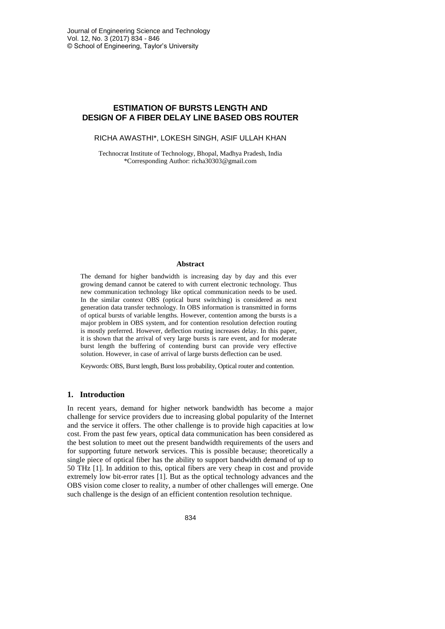# **ESTIMATION OF BURSTS LENGTH AND DESIGN OF A FIBER DELAY LINE BASED OBS ROUTER**

RICHA AWASTHI\*, LOKESH SINGH, ASIF ULLAH KHAN

Technocrat Institute of Technology, Bhopal, Madhya Pradesh, India \*Corresponding Author: richa30303@gmail.com

#### **Abstract**

The demand for higher bandwidth is increasing day by day and this ever growing demand cannot be catered to with current electronic technology. Thus new communication technology like optical communication needs to be used. In the similar context OBS (optical burst switching) is considered as next generation data transfer technology. In OBS information is transmitted in forms of optical bursts of variable lengths. However, contention among the bursts is a major problem in OBS system, and for contention resolution defection routing is mostly preferred. However, deflection routing increases delay. In this paper, it is shown that the arrival of very large bursts is rare event, and for moderate burst length the buffering of contending burst can provide very effective solution. However, in case of arrival of large bursts deflection can be used.

Keywords: OBS, Burst length, Burst loss probability, Optical router and contention.

### **1. Introduction**

In recent years, demand for higher network bandwidth has become a major challenge for service providers due to increasing global popularity of the Internet and the service it offers. The other challenge is to provide high capacities at low cost. From the past few years, optical data communication has been considered as the best solution to meet out the present bandwidth requirements of the users and for supporting future network services. This is possible because; theoretically a single piece of optical fiber has the ability to support bandwidth demand of up to 50 THz [1]. In addition to this, optical fibers are very cheap in cost and provide extremely low bit-error rates [1]. But as the optical technology advances and the OBS vision come closer to reality, a number of other challenges will emerge. One such challenge is the design of an efficient contention resolution technique.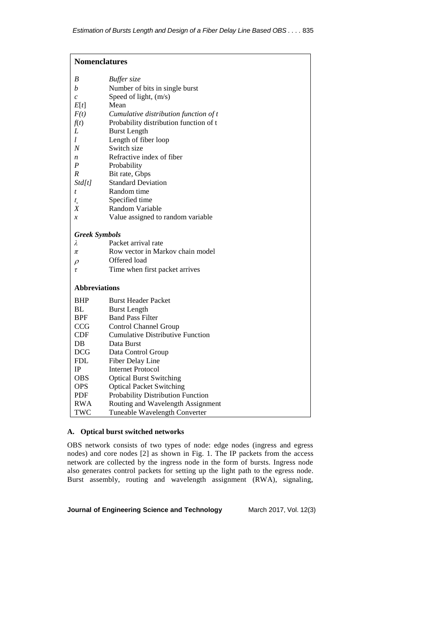| <b>Nomenclatures</b>  |                                         |
|-----------------------|-----------------------------------------|
| B                     | <b>Buffer</b> size                      |
| b                     | Number of bits in single burst          |
| $\mathcal{C}_{0}^{0}$ | Speed of light, (m/s)                   |
| E[t]                  | Mean                                    |
| F(t)                  | Cumulative distribution function of t   |
| f(t)                  | Probability distribution function of t  |
| L                     | <b>Burst Length</b>                     |
| l                     | Length of fiber loop                    |
| N                     | Switch size                             |
| n                     | Refractive index of fiber               |
| $\boldsymbol{P}$      | Probability                             |
| R                     | Bit rate, Gbps                          |
| Std[t]                | <b>Standard Deviation</b>               |
| t                     | Random time                             |
| $t_{\circ}$           | Specified time                          |
| Χ                     | Random Variable                         |
| $\boldsymbol{x}$      | Value assigned to random variable       |
| <b>Greek Symbols</b>  |                                         |
| λ                     | Packet arrival rate                     |
| π                     | Row vector in Markov chain model        |
| $\rho$                | Offered load                            |
| τ                     | Time when first packet arrives          |
| <b>Abbreviations</b>  |                                         |
| <b>BHP</b>            | <b>Burst Header Packet</b>              |
| BL                    | <b>Burst Length</b>                     |
| <b>BPF</b>            | <b>Band Pass Filter</b>                 |
| <b>CCG</b>            | <b>Control Channel Group</b>            |
| CDF                   | <b>Cumulative Distributive Function</b> |
| DB                    | Data Burst                              |
| <b>DCG</b>            | Data Control Group                      |
| <b>FDL</b>            | Fiber Delay Line                        |
| IP                    | <b>Internet Protocol</b>                |
| <b>OBS</b>            | <b>Optical Burst Switching</b>          |
| <b>OPS</b>            | <b>Optical Packet Switching</b>         |
| <b>PDF</b>            | Probability Distribution Function       |
| RWA                   | Routing and Wavelength Assignment       |
| TWC                   | <b>Tuneable Wavelength Converter</b>    |

# **A. Optical burst switched networks**

OBS network consists of two types of node: edge nodes (ingress and egress nodes) and core nodes [2] as shown in Fig. 1. The IP packets from the access network are collected by the ingress node in the form of bursts. Ingress node also generates control packets for setting up the light path to the egress node. Burst assembly, routing and wavelength assignment (RWA), signaling,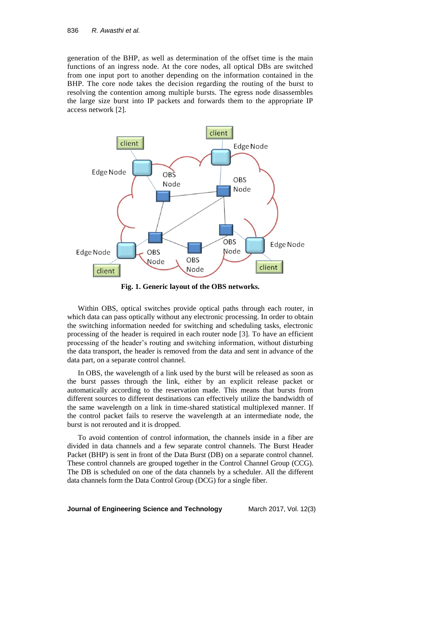generation of the BHP, as well as determination of the offset time is the main functions of an ingress node. At the core nodes, all optical DBs are switched from one input port to another depending on the information contained in the BHP. The core node takes the decision regarding the routing of the burst to resolving the contention among multiple bursts. The egress node disassembles the large size burst into IP packets and forwards them to the appropriate IP access network [2].



**Fig. 1. Generic layout of the OBS networks.**

Within OBS, optical switches provide optical paths through each router, in which data can pass optically without any electronic processing. In order to obtain the switching information needed for switching and scheduling tasks, electronic processing of the header is required in each router node [3]. To have an efficient processing of the header's routing and switching information, without disturbing the data transport, the header is removed from the data and sent in advance of the data part, on a separate control channel.

In OBS, the wavelength of a link used by the burst will be released as soon as the burst passes through the link, either by an explicit release packet or automatically according to the reservation made. This means that bursts from different sources to different destinations can effectively utilize the bandwidth of the same wavelength on a link in time-shared statistical multiplexed manner. If the control packet fails to reserve the wavelength at an intermediate node, the burst is not rerouted and it is dropped.

To avoid contention of control information, the channels inside in a fiber are divided in data channels and a few separate control channels. The Burst Header Packet (BHP) is sent in front of the Data Burst (DB) on a separate control channel. These control channels are grouped together in the Control Channel Group (CCG). The DB is scheduled on one of the data channels by a scheduler. All the different data channels form the Data Control Group (DCG) for a single fiber.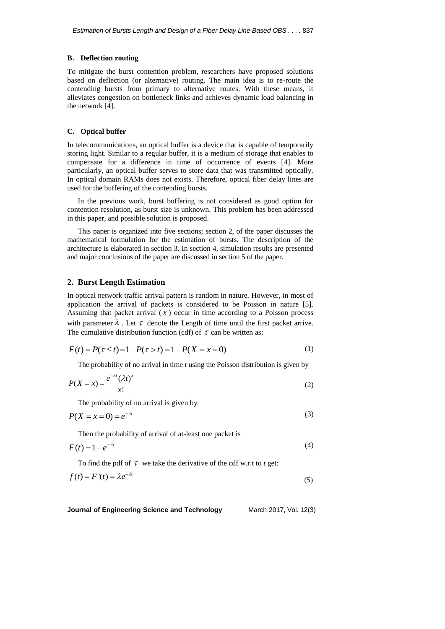### **B. Deflection routing**

To mitigate the burst contention problem, researchers have proposed solutions based on deflection (or alternative) routing. The main idea is to re-route the contending bursts from primary to alternative routes. With these means, it alleviates congestion on bottleneck links and achieves dynamic load balancing in the network [4].

#### **C. Optical buffer**

In telecommunications, an optical buffer is a device that is capable of temporarily storing light. Similar to a regular buffer, it is a medium of storage that enables to compensate for a difference in time of occurrence of events [4]. More particularly, an optical buffer serves to store data that was transmitted optically. In optical domain RAMs does not exists. Therefore, optical fiber delay lines are used for the buffering of the contending bursts.

In the previous work, burst buffering is not considered as good option for contention resolution, as burst size is unknown. This problem has been addressed in this paper, and possible solution is proposed.

This paper is organized into five sections; section 2, of the paper discusses the mathematical formulation for the estimation of bursts. The description of the architecture is elaborated in section 3. In section 4, simulation results are presented and major conclusions of the paper are discussed in section 5 of the paper.

### **2. Burst Length Estimation**

In optical network traffic arrival pattern is random in nature. However, in most of application the arrival of packets is considered to be Poisson in nature [5]. Assuming that packet arrival  $(X)$  occur in time according to a Poisson process with parameter  $\lambda$ . Let  $\tau$  denote the Length of time until the first packet arrive.

The cumulative distribution function (cdf) of 
$$
\tau
$$
 can be written as:  
\n
$$
F(t) = P(\tau \le t) = 1 - P(\tau > t) = 1 - P(X = x = 0)
$$
\n(1)

The probability of no arrival in time *t* using the Poisson distribution is given by

$$
P(X = x) = \frac{e^{-\lambda t} (\lambda t)^x}{x!}
$$
 (2)

The probability of no arrival is given by

$$
P(X = x = 0) = e^{-\lambda t} \tag{3}
$$

Then the probability of arrival of at-least one packet is

$$
F(t) = 1 - e^{-\lambda t} \tag{4}
$$

To find the pdf of  $\tau$  we take the derivative of the cdf w.r.t to  $t$  get:

$$
f(t) = F'(t) = \lambda e^{-\lambda t}
$$
\n(5)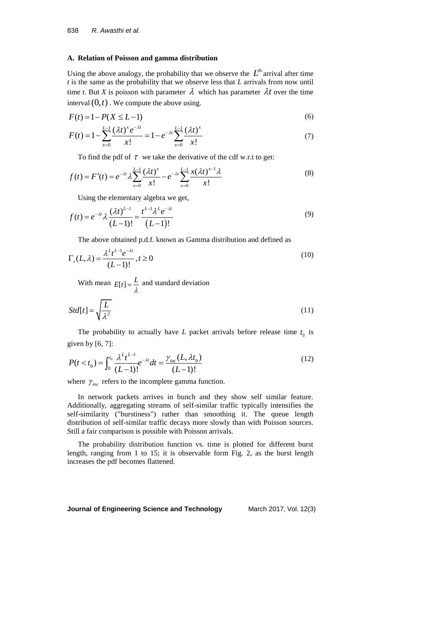#### **A. Relation of Poisson and gamma distribution**

Using the above analogy, the probability that we observe the  $L^{th}$  arrival after time *t* is the same as the probability that we observe less that *L* arrivals from now until time *t*. But *X* is poisson with parameter  $\lambda$  which has parameter  $\lambda t$  over the time interval  $(0, t)$ . We compute the above using.

$$
F(t) = 1 - P(X \le L - 1) \tag{6}
$$

$$
F(t) = 1 - P(X \le L - 1)
$$
\n
$$
F(t) = 1 - \sum_{x=0}^{L-1} \frac{(\lambda t)^x e^{-\lambda t}}{x!} = 1 - e^{-\lambda t} \sum_{x=0}^{L-1} \frac{(\lambda t)^x}{x!}
$$
\n
$$
(7)
$$

To find the pdf of 
$$
\tau
$$
 we take the derivative of the cdf w.r.t to get:  
\n
$$
f(t) = F'(t) = e^{-\lambda t} \lambda \sum_{x=0}^{L-1} \frac{(\lambda t)^x}{x!} - e^{-\lambda t} \sum_{x=0}^{L-1} \frac{x(\lambda t)^{x-1} \lambda}{x!}
$$
\n(8)

Using the elementary algebra we get,  
\n
$$
f(t) = e^{-\lambda t} \lambda \frac{(\lambda t)^{L-1}}{(L-1)!} = \frac{t^{L-1} \lambda^L e^{-\lambda t}}{(L-1)!}
$$
\n(9)

The above obtained p.d.f. known as Gamma distribution and defined as

$$
\Gamma_t(L,\lambda) = \frac{\lambda^L t^{L-1} e^{-\lambda t}}{(L-1)!}, t \ge 0
$$
\n(10)

With mean  $E[t] = \frac{L}{\lambda}$  and standard deviation

$$
Std[t] = \sqrt{\frac{L}{\lambda^2}}
$$
\n(11)

The probability to actually have  $L$  packet arrivals before release time  $t_0$  is given by [6, 7]:

given by [6, 7]:  
\n
$$
P(t < t_0) = \int_0^{t_0} \frac{\lambda^L t^{L-1}}{(L-1)!} e^{-\lambda t} dt = \frac{\gamma_{inc}(L, \lambda t_0)}{(L-1)!}
$$
\n(12)

where  $\gamma_{\text{inc}}$  refers to the incomplete gamma function.

In network packets arrives in bunch and they show self similar feature. Additionally, aggregating streams of self-similar traffic typically intensifies the self-similarity ("burstiness") rather than smoothing it. The queue length distribution of self-similar traffic decays more slowly than with Poisson sources. Still a fair comparison is possible with Poisson arrivals.

The probability distribution function vs. time is plotted for different burst length, ranging from 1 to 15; it is observable form Fig. 2, as the burst length increases the pdf becomes flattened.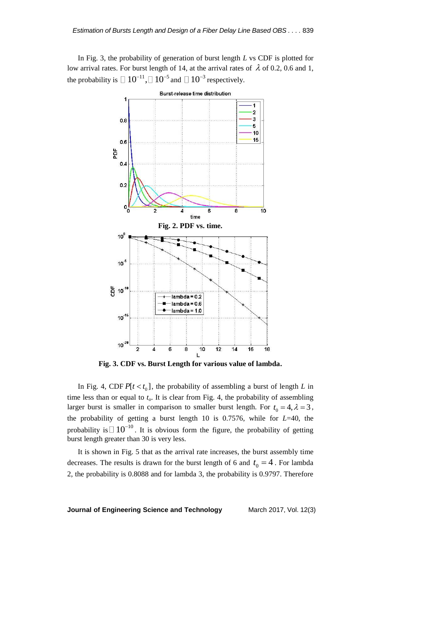In Fig. 3, the probability of generation of burst length *L* vs CDF is plotted for low arrival rates. For burst length of 14, at the arrival rates of  $\lambda$  of 0.2, 0.6 and 1, the probability is  $\Box 10^{-11}$ ,  $\Box 10^{-5}$  and  $\Box 10^{-3}$  respectively.



**Fig. 3. CDF vs. Burst Length for various value of lambda.**

In Fig. 4, CDF  $P[t < t_0]$ , the probability of assembling a burst of length *L* in time less than or equal to  $t<sub>o</sub>$ . It is clear from Fig. 4, the probability of assembling larger burst is smaller in comparison to smaller burst length. For  $t_0 = 4$ ,  $\lambda = 3$ , the probability of getting a burst length 10 is 0.7576, while for *L*=40, the probability is  $\Box$  10<sup>-10</sup>. It is obvious form the figure, the probability of getting burst length greater than 30 is very less.

It is shown in Fig. 5 that as the arrival rate increases, the burst assembly time decreases. The results is drawn for the burst length of 6 and  $t_0 = 4$ . For lambda 2, the probability is 0.8088 and for lambda 3, the probability is 0.9797. Therefore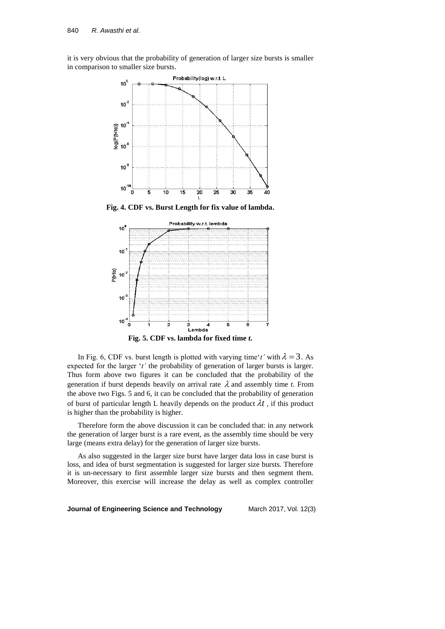it is very obvious that the probability of generation of larger size bursts is smaller in comparison to smaller size bursts.



**Fig. 4. CDF vs. Burst Length for fix value of lambda.**



In Fig. 6, CDF vs. burst length is plotted with varying time't' with  $\lambda = 3$ . As expected for the larger '*t*' the probability of generation of larger bursts is larger. Thus form above two figures it can be concluded that the probability of the generation if burst depends heavily on arrival rate  $\lambda$  and assembly time *t*. From the above two Figs. 5 and 6, it can be concluded that the probability of generation of burst of particular length L heavily depends on the product  $\lambda t$ , if this product is higher than the probability is higher.

Therefore form the above discussion it can be concluded that: in any network the generation of larger burst is a rare event, as the assembly time should be very large (means extra delay) for the generation of larger size bursts.

As also suggested in the larger size burst have larger data loss in case burst is loss, and idea of burst segmentation is suggested for larger size bursts. Therefore it is un-necessary to first assemble larger size bursts and then segment them. Moreover, this exercise will increase the delay as well as complex controller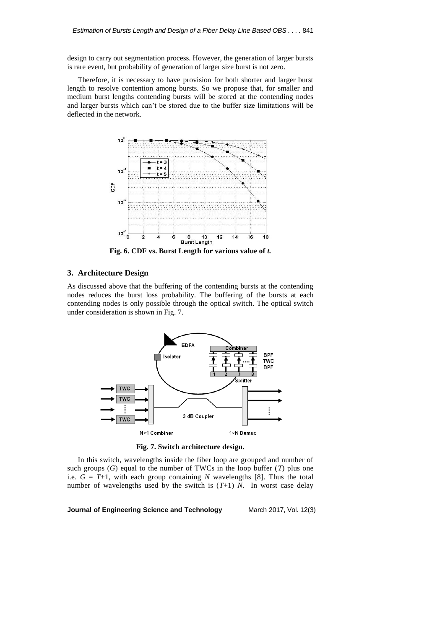design to carry out segmentation process. However, the generation of larger bursts is rare event, but probability of generation of larger size burst is not zero.

Therefore, it is necessary to have provision for both shorter and larger burst length to resolve contention among bursts. So we propose that, for smaller and medium burst lengths contending bursts will be stored at the contending nodes and larger bursts which can't be stored due to the buffer size limitations will be deflected in the network.



**Fig. 6. CDF vs. Burst Length for various value of** *t.*

# **3. Architecture Design**

As discussed above that the buffering of the contending bursts at the contending nodes reduces the burst loss probability. The buffering of the bursts at each contending nodes is only possible through the optical switch. The optical switch under consideration is shown in Fig. 7.



**Fig. 7. Switch architecture design.**

In this switch, wavelengths inside the fiber loop are grouped and number of such groups (*G*) equal to the number of TWCs in the loop buffer (*T*) plus one i.e.  $G = T+1$ , with each group containing *N* wavelengths [8]. Thus the total number of wavelengths used by the switch is (*T*+1) *N*. In worst case delay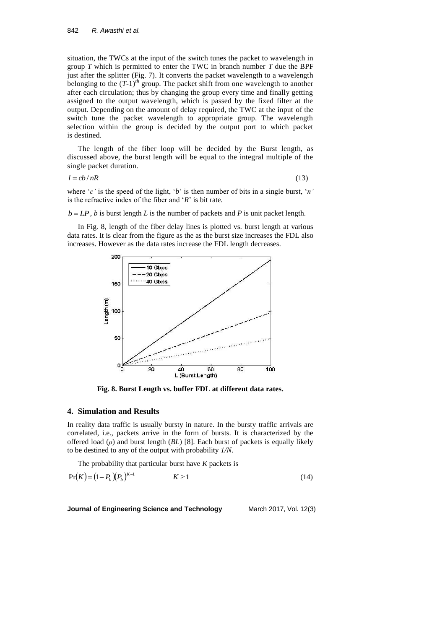situation, the TWCs at the input of the switch tunes the packet to wavelength in group *T* which is permitted to enter the TWC in branch number *T* due the BPF just after the splitter (Fig. 7). It converts the packet wavelength to a wavelength belonging to the (*T*-1)*th* group. The packet shift from one wavelength to another after each circulation; thus by changing the group every time and finally getting assigned to the output wavelength, which is passed by the fixed filter at the output. Depending on the amount of delay required, the TWC at the input of the switch tune the packet wavelength to appropriate group. The wavelength selection within the group is decided by the output port to which packet is destined.

The length of the fiber loop will be decided by the Burst length, as discussed above, the burst length will be equal to the integral multiple of the single packet duration.

$$
l = cb/nR \tag{13}
$$

where '*c'* is the speed of the light, '*b*' is then number of bits in a single burst, '*n'* is the refractive index of the fiber and '*R*' is bit rate.

 $b = LP$ , *b* is burst length *L* is the number of packets and *P* is unit packet length.

In Fig. 8, length of the fiber delay lines is plotted vs. burst length at various data rates. It is clear from the figure as the as the burst size increases the FDL also increases. However as the data rates increase the FDL length decreases.



**Fig. 8. Burst Length vs. buffer FDL at different data rates.**

### **4. Simulation and Results**

In reality data traffic is usually bursty in nature. In the bursty traffic arrivals are correlated, i.e., packets arrive in the form of bursts. It is characterized by the offered load (*ρ*) and burst length (*BL*) [8]. Each burst of packets is equally likely to be destined to any of the output with probability *1/N*.

The probability that particular burst have *K* packets is

$$
Pr(K) = (1 - P_b)(P_b)^{K-1} \qquad K \ge 1
$$
 (14)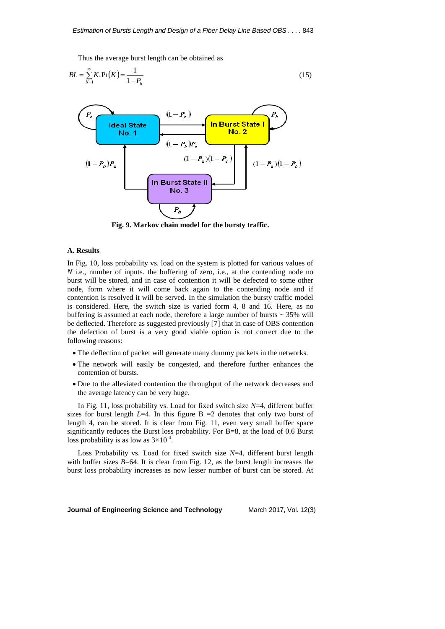Thus the average burst length can be obtained as

$$
BL = \sum_{K=1}^{\infty} K \cdot \Pr(K) = \frac{1}{1 - P_b}
$$
 (15)



**Fig. 9. Markov chain model for the bursty traffic.**

#### **A. Results**

In Fig. 10, loss probability vs. load on the system is plotted for various values of *N* i.e., number of inputs. the buffering of zero, i.e., at the contending node no burst will be stored, and in case of contention it will be defected to some other node, form where it will come back again to the contending node and if contention is resolved it will be served. In the simulation the bursty traffic model is considered. Here, the switch size is varied form 4, 8 and 16. Here, as no buffering is assumed at each node, therefore a large number of bursts  $\sim$  35% will be deflected. Therefore as suggested previously [7] that in case of OBS contention the defection of burst is a very good viable option is not correct due to the following reasons:

- The deflection of packet will generate many dummy packets in the networks.
- The network will easily be congested, and therefore further enhances the contention of bursts.
- Due to the alleviated contention the throughput of the network decreases and the average latency can be very huge.

In Fig. 11, loss probability vs. Load for fixed switch size *N*=4, different buffer sizes for burst length  $L=4$ . In this figure B  $=2$  denotes that only two burst of length 4, can be stored. It is clear from Fig. 11, even very small buffer space significantly reduces the Burst loss probability. For B=8, at the load of 0.6 Burst loss probability is as low as  $3\times10^{-4}$ .

Loss Probability vs. Load for fixed switch size *N*=4, different burst length with buffer sizes  $B=64$ . It is clear from Fig. 12, as the burst length increases the burst loss probability increases as now lesser number of burst can be stored. At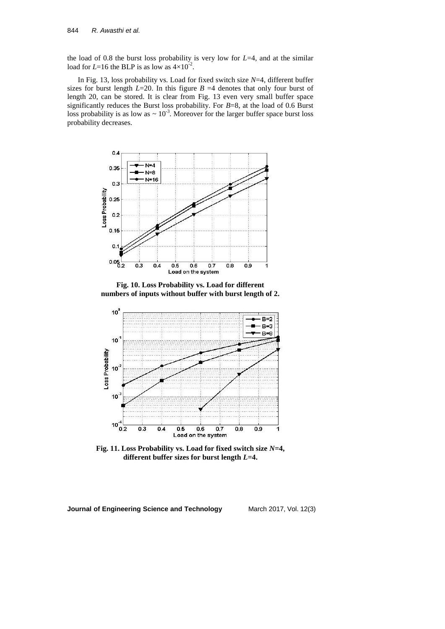the load of 0.8 the burst loss probability is very low for *L*=4, and at the similar load for  $L=16$  the BLP is as low as  $4\times10^{-2}$ .

In Fig. 13, loss probability vs. Load for fixed switch size *N*=4, different buffer sizes for burst length  $L=20$ . In this figure  $B=4$  denotes that only four burst of length 20, can be stored. It is clear from Fig. 13 even very small buffer space significantly reduces the Burst loss probability. For *B*=8, at the load of 0.6 Burst loss probability is as low as  $\sim 10^{-3}$ . Moreover for the larger buffer space burst loss probability decreases.



**Fig. 10. Loss Probability vs. Load for different numbers of inputs without buffer with burst length of 2.**



**Fig. 11. Loss Probability vs. Load for fixed switch size** *N***=4, different buffer sizes for burst length** *L***=4.**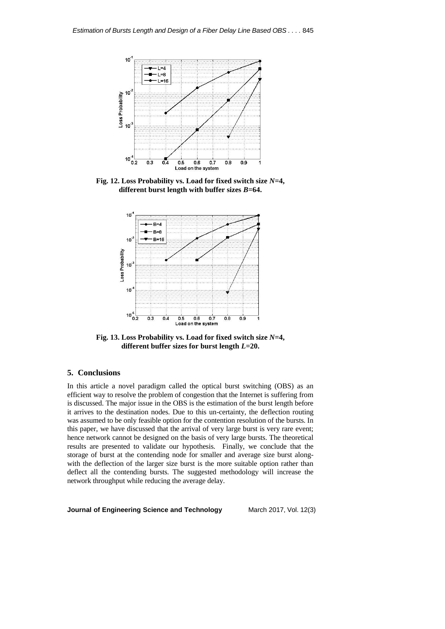

**Fig. 12. Loss Probability vs. Load for fixed switch size** *N***=4, different burst length with buffer sizes** *B***=64.**



**Fig. 13. Loss Probability vs. Load for fixed switch size** *N***=4, different buffer sizes for burst length** *L***=20.**

# **5. Conclusions**

In this article a novel paradigm called the optical burst switching (OBS) as an efficient way to resolve the problem of congestion that the Internet is suffering from is discussed. The major issue in the OBS is the estimation of the burst length before it arrives to the destination nodes. Due to this un-certainty, the deflection routing was assumed to be only feasible option for the contention resolution of the bursts. In this paper, we have discussed that the arrival of very large burst is very rare event; hence network cannot be designed on the basis of very large bursts. The theoretical results are presented to validate our hypothesis. Finally, we conclude that the storage of burst at the contending node for smaller and average size burst alongwith the deflection of the larger size burst is the more suitable option rather than deflect all the contending bursts. The suggested methodology will increase the network throughput while reducing the average delay.